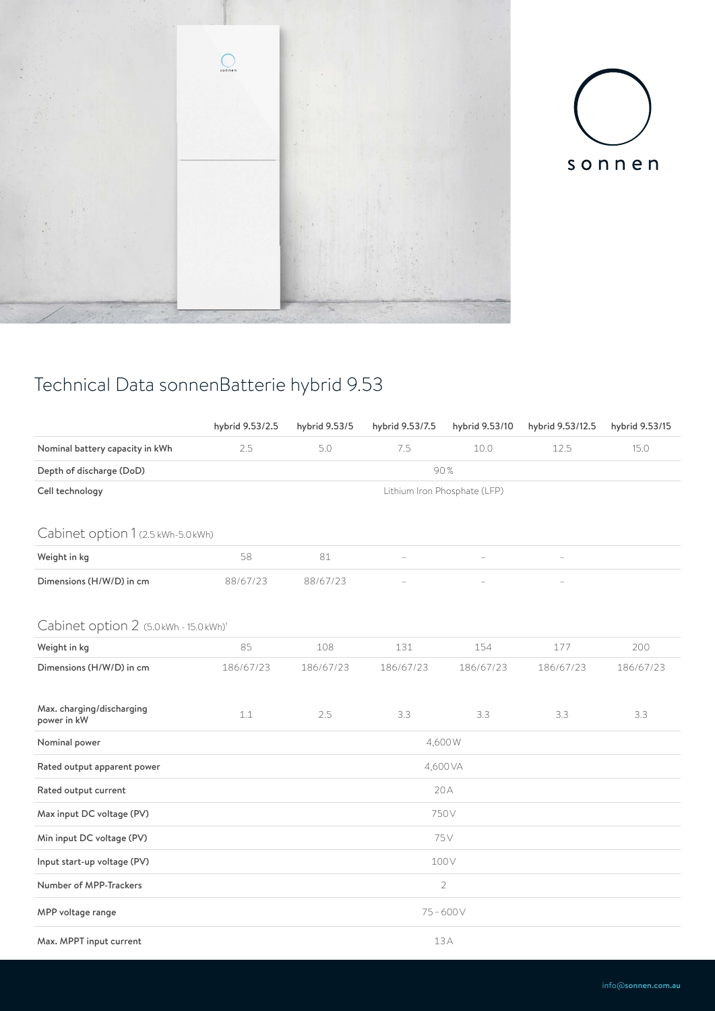



## Technical Data sonnenBatterie hybrid 9.53

|                                          | hybrid 9.53/2.5 | hybrid 9.53/5 | hybrid 9.53/7.5 | hybrid 9.53/10               | hybrid 9.53/12.5                                                        | hybrid 9.53/15 |  |  |  |  |  |
|------------------------------------------|-----------------|---------------|-----------------|------------------------------|-------------------------------------------------------------------------|----------------|--|--|--|--|--|
| Nominal battery capacity in kWh          | 2.5             | 5.0           | 7.5             | 10.0                         | 12.5                                                                    | 15.0           |  |  |  |  |  |
| Depth of discharge (DoD)                 | 90%             |               |                 |                              |                                                                         |                |  |  |  |  |  |
| Cell technology                          |                 |               |                 | Lithium Iron Phosphate (LFP) | $\qquad \qquad -$<br>177<br>200<br>186/67/23<br>186/67/23<br>3.3<br>3.3 |                |  |  |  |  |  |
| Cabinet option 1 (2.5 kWh-5.0 kWh)       |                 |               |                 |                              |                                                                         |                |  |  |  |  |  |
| Weight in kg                             | 58              | 81            | ÷               |                              |                                                                         |                |  |  |  |  |  |
| Dimensions (H/W/D) in cm                 | 88/67/23        | 88/67/23      |                 |                              |                                                                         |                |  |  |  |  |  |
| Cabinet option 2 (5.0 kWh - 15.0 kWh)'   |                 |               |                 |                              |                                                                         |                |  |  |  |  |  |
| Weight in kg                             | 85              | 108           | 131             | 154                          |                                                                         |                |  |  |  |  |  |
| Dimensions (H/W/D) in cm                 | 186/67/23       | 186/67/23     | 186/67/23       | 186/67/23                    |                                                                         |                |  |  |  |  |  |
| Max. charging/discharging<br>power in kW | 1.1             | 2.5           | 3.3             | 3.3                          |                                                                         |                |  |  |  |  |  |
| Nominal power                            | 4,600W          |               |                 |                              |                                                                         |                |  |  |  |  |  |
| Rated output apparent power              | 4,600 VA        |               |                 |                              |                                                                         |                |  |  |  |  |  |
| Rated output current                     | 20A             |               |                 |                              |                                                                         |                |  |  |  |  |  |
| Max input DC voltage (PV)                | 750V            |               |                 |                              |                                                                         |                |  |  |  |  |  |
| Min input DC voltage (PV)                | 75V             |               |                 |                              |                                                                         |                |  |  |  |  |  |
| Input start-up voltage (PV)              | 100V            |               |                 |                              |                                                                         |                |  |  |  |  |  |
| Number of MPP-Trackers                   | $\sqrt{2}$      |               |                 |                              |                                                                         |                |  |  |  |  |  |
| MPP voltage range                        | $75 - 600V$     |               |                 |                              |                                                                         |                |  |  |  |  |  |
| Max. MPPT input current                  | 13A             |               |                 |                              |                                                                         |                |  |  |  |  |  |